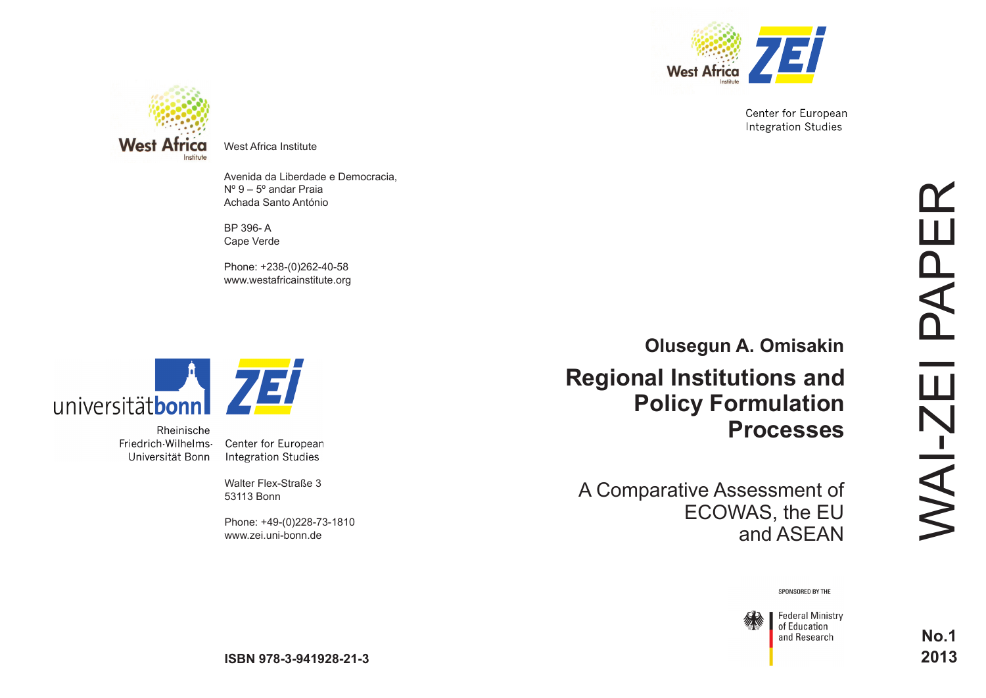

Center for European **Integration Studies** 



West Africa Institute

Avenida da Liberdade e Democracia, Nº 9 – 5º andar Praia Achada Santo António

BP 396- A Cape Verde

Phone: +238-(0)262-40-58 www.westafricainstitute.org



Rheinische Friedrich-Wilhelms-Universität Bonn

Center for European **Integration Studies** 

Walter Flex-Straße 3 53113 Bonn

Phone: +49-(0)228-73-1810 www.zei.uni-bonn.de

**Regional Institutions and Policy Formulation Processes Olusegun A. Omisakin**

A Comparative Assessment of ECOWAS, the EU and ASEAN

**No.1 2013**

SPONSORED BY THE

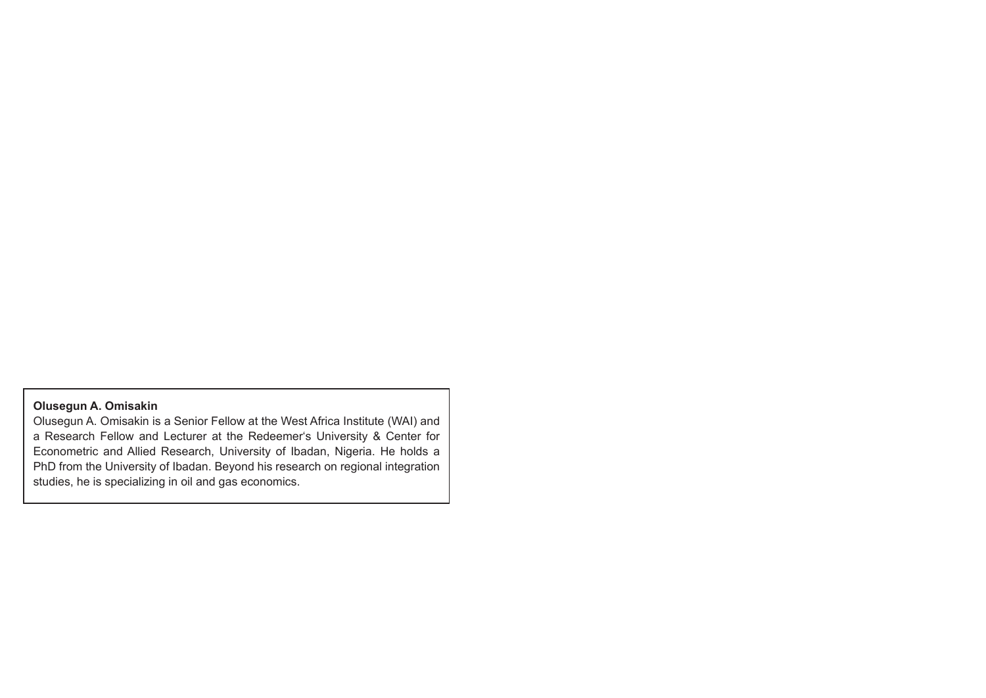# **Olusegun A. Omisakin**

Olusegun A. Omisakin is a Senior Fellow at the West Africa Institute (WAI) and a Research Fellow and Lecturer at the Redeemer's University & Center for Econometric and Allied Research, University of Ibadan, Nigeria. He holds a PhD from the University of Ibadan. Beyond his research on regional integration studies, he is specializing in oil and gas economics.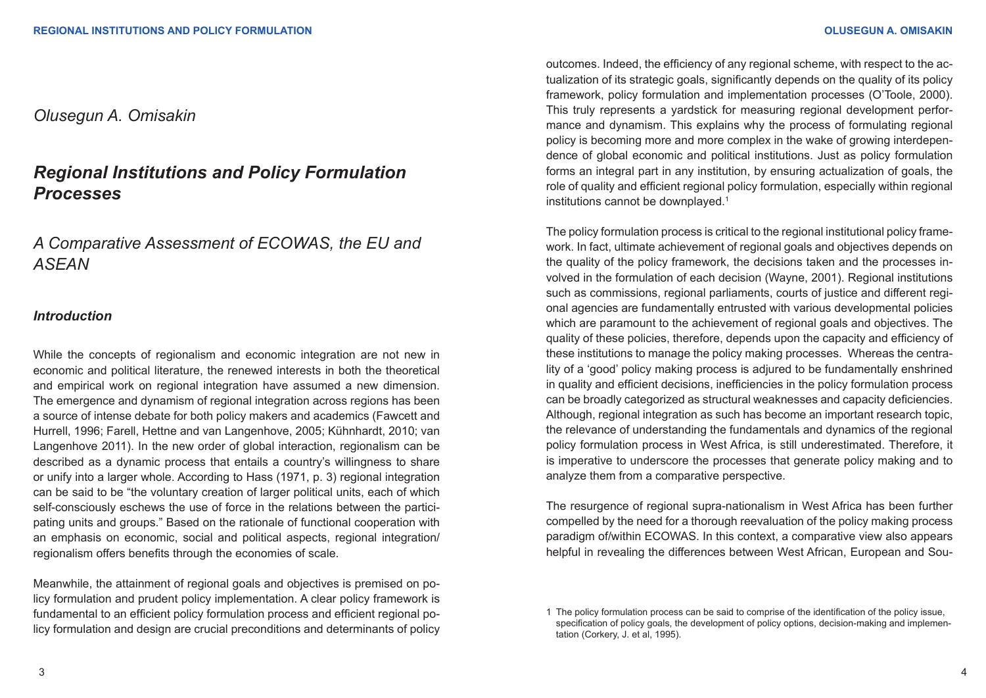# *Olusegun A. Omisakin*

# *Regional Institutions and Policy Formulation Processes*

# *A Comparative Assessment of ECOWAS, the EU and ASEAN*

# *Introduction*

While the concepts of regionalism and economic integration are not new in economic and political literature, the renewed interests in both the theoretical and empirical work on regional integration have assumed a new dimension. The emergence and dynamism of regional integration across regions has been a source of intense debate for both policy makers and academics (Fawcett and Hurrell, 1996; Farell, Hettne and van Langenhove, 2005; Kühnhardt, 2010; van Langenhove 2011). In the new order of global interaction, regionalism can be described as a dynamic process that entails a country's willingness to share or unify into a larger whole. According to Hass (1971, p. 3) regional integration can be said to be "the voluntary creation of larger political units, each of which self-consciously eschews the use of force in the relations between the participating units and groups." Based on the rationale of functional cooperation with an emphasis on economic, social and political aspects, regional integration/ regionalism offers benefits through the economies of scale.

Meanwhile, the attainment of regional goals and objectives is premised on policy formulation and prudent policy implementation. A clear policy framework is fundamental to an efficient policy formulation process and efficient regional policy formulation and design are crucial preconditions and determinants of policy

outcomes. Indeed, the efficiency of any regional scheme, with respect to the actualization of its strategic goals, significantly depends on the quality of its policy framework, policy formulation and implementation processes (O'Toole, 2000). This truly represents a yardstick for measuring regional development performance and dynamism. This explains why the process of formulating regional policy is becoming more and more complex in the wake of growing interdependence of global economic and political institutions. Just as policy formulation forms an integral part in any institution, by ensuring actualization of goals, the role of quality and efficient regional policy formulation, especially within regional institutions cannot be downplayed.<sup>1</sup>

The policy formulation process is critical to the regional institutional policy framework. In fact, ultimate achievement of regional goals and objectives depends on the quality of the policy framework, the decisions taken and the processes involved in the formulation of each decision (Wayne, 2001). Regional institutions such as commissions, regional parliaments, courts of justice and different regional agencies are fundamentally entrusted with various developmental policies which are paramount to the achievement of regional goals and objectives. The quality of these policies, therefore, depends upon the capacity and efficiency of these institutions to manage the policy making processes. Whereas the centrality of a 'good' policy making process is adjured to be fundamentally enshrined in quality and efficient decisions, inefficiencies in the policy formulation process can be broadly categorized as structural weaknesses and capacity deficiencies. Although, regional integration as such has become an important research topic, the relevance of understanding the fundamentals and dynamics of the regional policy formulation process in West Africa, is still underestimated. Therefore, it is imperative to underscore the processes that generate policy making and to analyze them from a comparative perspective.

The resurgence of regional supra-nationalism in West Africa has been further compelled by the need for a thorough reevaluation of the policy making process paradigm of/within ECOWAS. In this context, a comparative view also appears helpful in revealing the differences between West African, European and Sou-

<sup>1</sup> The policy formulation process can be said to comprise of the identification of the policy issue, specification of policy goals, the development of policy options, decision-making and implementation (Corkery, J. et al, 1995).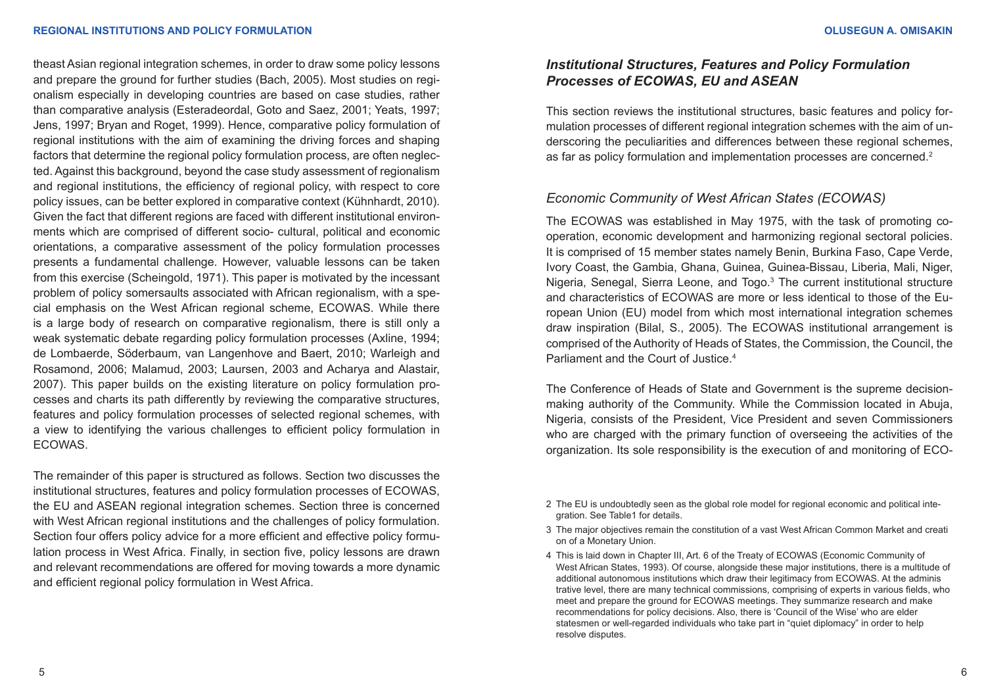theast Asian regional integration schemes, in order to draw some policy lessons and prepare the ground for further studies (Bach, 2005). Most studies on regionalism especially in developing countries are based on case studies, rather than comparative analysis (Esteradeordal, Goto and Saez, 2001; Yeats, 1997; Jens, 1997; Bryan and Roget, 1999). Hence, comparative policy formulation of regional institutions with the aim of examining the driving forces and shaping factors that determine the regional policy formulation process, are often neglected. Against this background, beyond the case study assessment of regionalism and regional institutions, the efficiency of regional policy, with respect to core policy issues, can be better explored in comparative context (Kühnhardt, 2010). Given the fact that different regions are faced with different institutional environments which are comprised of different socio- cultural, political and economic orientations, a comparative assessment of the policy formulation processes presents a fundamental challenge. However, valuable lessons can be taken from this exercise (Scheingold, 1971). This paper is motivated by the incessant problem of policy somersaults associated with African regionalism, with a special emphasis on the West African regional scheme, ECOWAS. While there is a large body of research on comparative regionalism, there is still only a weak systematic debate regarding policy formulation processes (Axline, 1994; de Lombaerde, Söderbaum, van Langenhove and Baert, 2010; Warleigh and Rosamond, 2006; Malamud, 2003; Laursen, 2003 and Acharya and Alastair, 2007). This paper builds on the existing literature on policy formulation processes and charts its path differently by reviewing the comparative structures, features and policy formulation processes of selected regional schemes, with a view to identifying the various challenges to efficient policy formulation in ECOWAS.

The remainder of this paper is structured as follows. Section two discusses the institutional structures, features and policy formulation processes of ECOWAS, the EU and ASEAN regional integration schemes. Section three is concerned with West African regional institutions and the challenges of policy formulation. Section four offers policy advice for a more efficient and effective policy formulation process in West Africa. Finally, in section five, policy lessons are drawn and relevant recommendations are offered for moving towards a more dynamic and efficient regional policy formulation in West Africa.

# *Institutional Structures, Features and Policy Formulation Processes of ECOWAS, EU and ASEAN*

This section reviews the institutional structures, basic features and policy formulation processes of different regional integration schemes with the aim of underscoring the peculiarities and differences between these regional schemes, as far as policy formulation and implementation processes are concerned.<sup>2</sup>

## *Economic Community of West African States (ECOWAS)*

The ECOWAS was established in May 1975, with the task of promoting cooperation, economic development and harmonizing regional sectoral policies. It is comprised of 15 member states namely Benin, Burkina Faso, Cape Verde, Ivory Coast, the Gambia, Ghana, Guinea, Guinea-Bissau, Liberia, Mali, Niger, Nigeria, Senegal, Sierra Leone, and Togo.<sup>3</sup> The current institutional structure and characteristics of ECOWAS are more or less identical to those of the European Union (EU) model from which most international integration schemes draw inspiration (Bilal, S., 2005). The ECOWAS institutional arrangement is comprised of the Authority of Heads of States, the Commission, the Council, the Parliament and the Court of Justice.4

The Conference of Heads of State and Government is the supreme decisionmaking authority of the Community. While the Commission located in Abuja, Nigeria, consists of the President, Vice President and seven Commissioners who are charged with the primary function of overseeing the activities of the organization. Its sole responsibility is the execution of and monitoring of ECO-

- 3 The major objectives remain the constitution of a vast West African Common Market and creati on of a Monetary Union.
- 4 This is laid down in Chapter III, Art. 6 of the Treaty of ECOWAS (Economic Community of West African States, 1993). Of course, alongside these major institutions, there is a multitude of additional autonomous institutions which draw their legitimacy from ECOWAS. At the adminis trative level, there are many technical commissions, comprising of experts in various fields, who meet and prepare the ground for ECOWAS meetings. They summarize research and make recommendations for policy decisions. Also, there is 'Council of the Wise' who are elder statesmen or well-regarded individuals who take part in "quiet diplomacy" in order to help resolve disputes.

<sup>2</sup> The EU is undoubtedly seen as the global role model for regional economic and political integration. See Table1 for details.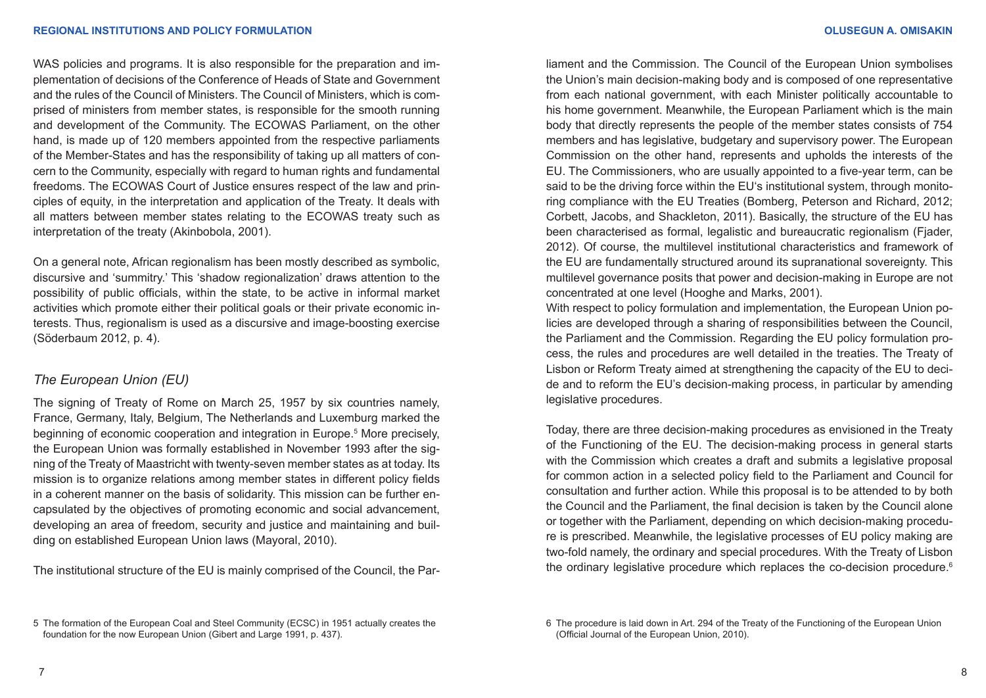WAS policies and programs. It is also responsible for the preparation and implementation of decisions of the Conference of Heads of State and Government and the rules of the Council of Ministers. The Council of Ministers, which is comprised of ministers from member states, is responsible for the smooth running and development of the Community. The ECOWAS Parliament, on the other hand, is made up of 120 members appointed from the respective parliaments of the Member-States and has the responsibility of taking up all matters of concern to the Community, especially with regard to human rights and fundamental freedoms. The ECOWAS Court of Justice ensures respect of the law and principles of equity, in the interpretation and application of the Treaty. It deals with all matters between member states relating to the ECOWAS treaty such as interpretation of the treaty (Akinbobola, 2001).

On a general note, African regionalism has been mostly described as symbolic, discursive and 'summitry.' This 'shadow regionalization' draws attention to the possibility of public officials, within the state, to be active in informal market activities which promote either their political goals or their private economic interests. Thus, regionalism is used as a discursive and image-boosting exercise (Söderbaum 2012, p. 4).

## *The European Union (EU)*

The signing of Treaty of Rome on March 25, 1957 by six countries namely, France, Germany, Italy, Belgium, The Netherlands and Luxemburg marked the beginning of economic cooperation and integration in Europe.<sup>5</sup> More precisely, the European Union was formally established in November 1993 after the signing of the Treaty of Maastricht with twenty-seven member states as at today. Its mission is to organize relations among member states in different policy fields in a coherent manner on the basis of solidarity. This mission can be further encapsulated by the objectives of promoting economic and social advancement, developing an area of freedom, security and justice and maintaining and building on established European Union laws (Mayoral, 2010).

The institutional structure of the EU is mainly comprised of the Council, the Par-

liament and the Commission. The Council of the European Union symbolises the Union's main decision-making body and is composed of one representative from each national government, with each Minister politically accountable to his home government. Meanwhile, the European Parliament which is the main body that directly represents the people of the member states consists of 754 members and has legislative, budgetary and supervisory power. The European Commission on the other hand, represents and upholds the interests of the EU. The Commissioners, who are usually appointed to a five-year term, can be said to be the driving force within the EU's institutional system, through monitoring compliance with the EU Treaties (Bomberg, Peterson and Richard, 2012; Corbett, Jacobs, and Shackleton, 2011). Basically, the structure of the EU has been characterised as formal, legalistic and bureaucratic regionalism (Fjader, 2012). Of course, the multilevel institutional characteristics and framework of the EU are fundamentally structured around its supranational sovereignty. This multilevel governance posits that power and decision-making in Europe are not concentrated at one level (Hooghe and Marks, 2001).

With respect to policy formulation and implementation, the European Union policies are developed through a sharing of responsibilities between the Council, the Parliament and the Commission. Regarding the EU policy formulation process, the rules and procedures are well detailed in the treaties. The Treaty of Lisbon or Reform Treaty aimed at strengthening the capacity of the EU to decide and to reform the EU's decision-making process, in particular by amending legislative procedures.

Today, there are three decision-making procedures as envisioned in the Treaty of the Functioning of the EU. The decision-making process in general starts with the Commission which creates a draft and submits a legislative proposal for common action in a selected policy field to the Parliament and Council for consultation and further action. While this proposal is to be attended to by both the Council and the Parliament, the final decision is taken by the Council alone or together with the Parliament, depending on which decision-making procedure is prescribed. Meanwhile, the legislative processes of EU policy making are two-fold namely, the ordinary and special procedures. With the Treaty of Lisbon the ordinary legislative procedure which replaces the co-decision procedure.<sup>6</sup>

<sup>5</sup> The formation of the European Coal and Steel Community (ECSC) in 1951 actually creates the foundation for the now European Union (Gibert and Large 1991, p. 437).

<sup>6</sup> The procedure is laid down in Art. 294 of the Treaty of the Functioning of the European Union (Official Journal of the European Union, 2010).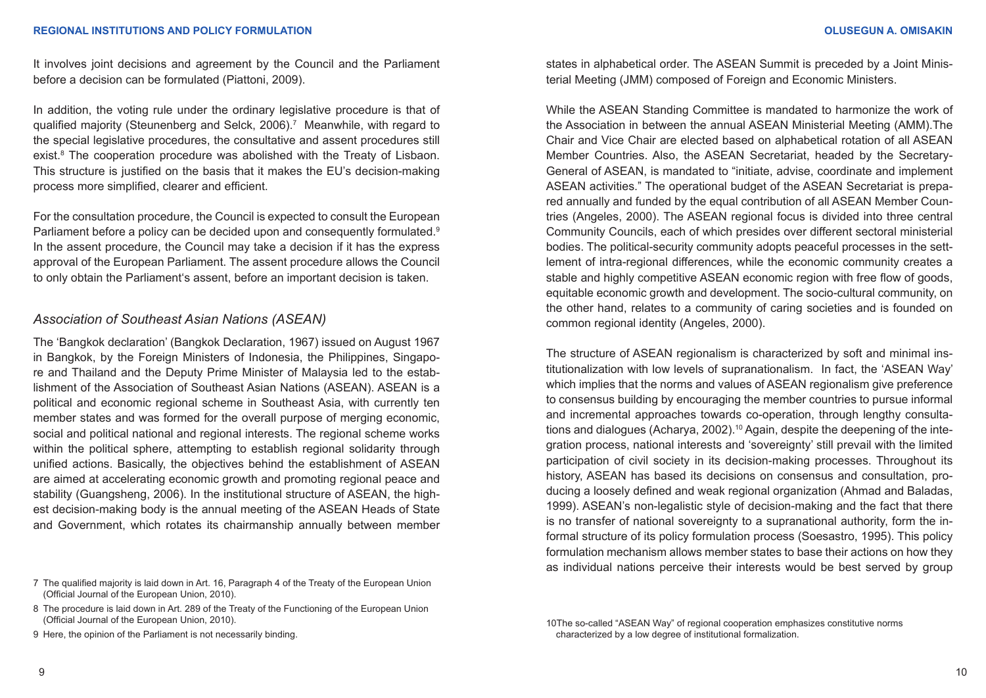It involves joint decisions and agreement by the Council and the Parliament before a decision can be formulated (Piattoni, 2009).

In addition, the voting rule under the ordinary legislative procedure is that of qualified majority (Steunenberg and Selck, 2006).<sup>7</sup> Meanwhile, with regard to the special legislative procedures, the consultative and assent procedures still exist.<sup>8</sup> The cooperation procedure was abolished with the Treaty of Lisbaon. This structure is justified on the basis that it makes the EU's decision-making process more simplified, clearer and efficient.

For the consultation procedure, the Council is expected to consult the European Parliament before a policy can be decided upon and consequently formulated.<sup>9</sup> In the assent procedure, the Council may take a decision if it has the express approval of the European Parliament. The assent procedure allows the Council to only obtain the Parliament's assent, before an important decision is taken.

### *Association of Southeast Asian Nations (ASEAN)*

The 'Bangkok declaration' (Bangkok Declaration, 1967) issued on August 1967 in Bangkok, by the Foreign Ministers of Indonesia, the Philippines, Singapore and Thailand and the Deputy Prime Minister of Malaysia led to the establishment of the Association of Southeast Asian Nations (ASEAN). ASEAN is a political and economic regional scheme in Southeast Asia, with currently ten member states and was formed for the overall purpose of merging economic, social and political national and regional interests. The regional scheme works within the political sphere, attempting to establish regional solidarity through unified actions. Basically, the objectives behind the establishment of ASEAN are aimed at accelerating economic growth and promoting regional peace and stability (Guangsheng, 2006). In the institutional structure of ASEAN, the highest decision-making body is the annual meeting of the ASEAN Heads of State and Government, which rotates its chairmanship annually between member

7 The qualified majority is laid down in Art. 16, Paragraph 4 of the Treaty of the European Union (Official Journal of the European Union, 2010).

- 8 The procedure is laid down in Art. 289 of the Treaty of the Functioning of the European Union (Official Journal of the European Union, 2010).
- 9 Here, the opinion of the Parliament is not necessarily binding.

states in alphabetical order. The ASEAN Summit is preceded by a Joint Ministerial Meeting (JMM) composed of Foreign and Economic Ministers.

While the ASEAN Standing Committee is mandated to harmonize the work of the Association in between the annual ASEAN Ministerial Meeting (AMM).The Chair and Vice Chair are elected based on alphabetical rotation of all ASEAN Member Countries. Also, the ASEAN Secretariat, headed by the Secretary-General of ASEAN, is mandated to "initiate, advise, coordinate and implement ASEAN activities." The operational budget of the ASEAN Secretariat is prepared annually and funded by the equal contribution of all ASEAN Member Countries (Angeles, 2000). The ASEAN regional focus is divided into three central Community Councils, each of which presides over different sectoral ministerial bodies. The political-security community adopts peaceful processes in the settlement of intra-regional differences, while the economic community creates a stable and highly competitive ASEAN economic region with free flow of goods, equitable economic growth and development. The socio-cultural community, on the other hand, relates to a community of caring societies and is founded on common regional identity (Angeles, 2000).

The structure of ASEAN regionalism is characterized by soft and minimal institutionalization with low levels of supranationalism. In fact, the 'ASEAN Way' which implies that the norms and values of ASEAN regionalism give preference to consensus building by encouraging the member countries to pursue informal and incremental approaches towards co-operation, through lengthy consultations and dialogues (Acharya, 2002).<sup>10</sup> Again, despite the deepening of the integration process, national interests and 'sovereignty' still prevail with the limited participation of civil society in its decision-making processes. Throughout its history, ASEAN has based its decisions on consensus and consultation, producing a loosely defined and weak regional organization (Ahmad and Baladas, 1999). ASEAN's non-legalistic style of decision-making and the fact that there is no transfer of national sovereignty to a supranational authority, form the informal structure of its policy formulation process (Soesastro, 1995). This policy formulation mechanism allows member states to base their actions on how they as individual nations perceive their interests would be best served by group

<sup>10</sup>The so-called "ASEAN Way" of regional cooperation emphasizes constitutive norms characterized by a low degree of institutional formalization.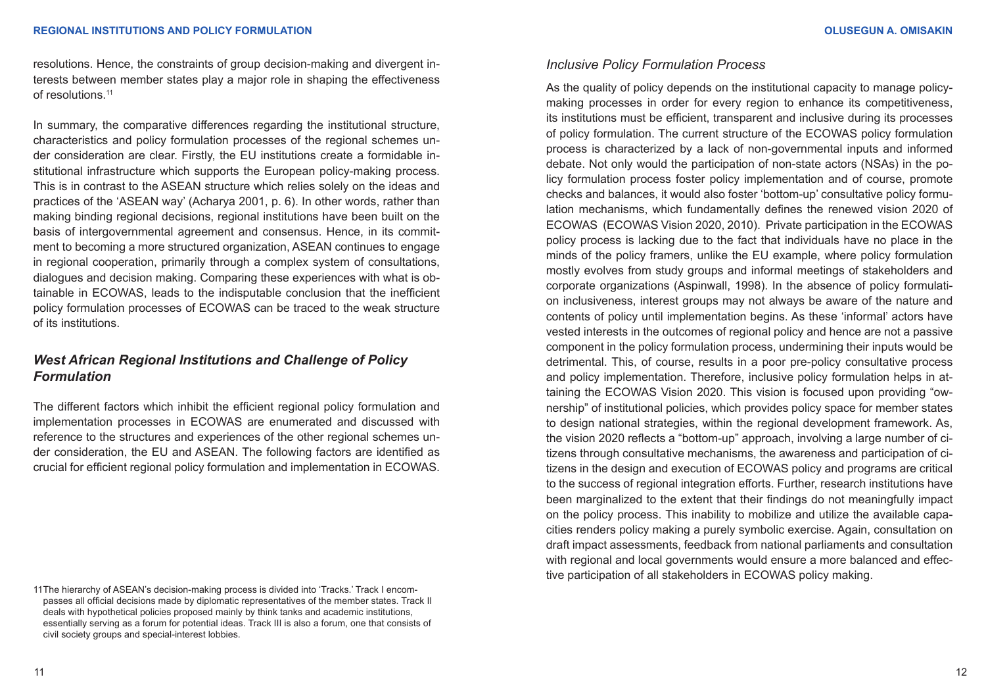resolutions. Hence, the constraints of group decision-making and divergent interests between member states play a major role in shaping the effectiveness of resolutions.11

In summary, the comparative differences regarding the institutional structure, characteristics and policy formulation processes of the regional schemes under consideration are clear. Firstly, the EU institutions create a formidable institutional infrastructure which supports the European policy-making process. This is in contrast to the ASEAN structure which relies solely on the ideas and practices of the 'ASEAN way' (Acharya 2001, p. 6). In other words, rather than making binding regional decisions, regional institutions have been built on the basis of intergovernmental agreement and consensus. Hence, in its commitment to becoming a more structured organization, ASEAN continues to engage in regional cooperation, primarily through a complex system of consultations, dialogues and decision making. Comparing these experiences with what is obtainable in ECOWAS, leads to the indisputable conclusion that the inefficient policy formulation processes of ECOWAS can be traced to the weak structure of its institutions.

# *West African Regional Institutions and Challenge of Policy Formulation*

The different factors which inhibit the efficient regional policy formulation and implementation processes in ECOWAS are enumerated and discussed with reference to the structures and experiences of the other regional schemes under consideration, the EU and ASEAN. The following factors are identified as crucial for efficient regional policy formulation and implementation in ECOWAS.

11The hierarchy of ASEAN's decision-making process is divided into 'Tracks.' Track I encompasses all official decisions made by diplomatic representatives of the member states. Track II deals with hypothetical policies proposed mainly by think tanks and academic institutions, essentially serving as a forum for potential ideas. Track III is also a forum, one that consists of civil society groups and special-interest lobbies.

#### *Inclusive Policy Formulation Process*

As the quality of policy depends on the institutional capacity to manage policymaking processes in order for every region to enhance its competitiveness, its institutions must be efficient, transparent and inclusive during its processes of policy formulation. The current structure of the ECOWAS policy formulation process is characterized by a lack of non-governmental inputs and informed debate. Not only would the participation of non-state actors (NSAs) in the policy formulation process foster policy implementation and of course, promote checks and balances, it would also foster 'bottom-up' consultative policy formulation mechanisms, which fundamentally defines the renewed vision 2020 of ECOWAS (ECOWAS Vision 2020, 2010). Private participation in the ECOWAS policy process is lacking due to the fact that individuals have no place in the minds of the policy framers, unlike the EU example, where policy formulation mostly evolves from study groups and informal meetings of stakeholders and corporate organizations (Aspinwall, 1998). In the absence of policy formulation inclusiveness, interest groups may not always be aware of the nature and contents of policy until implementation begins. As these 'informal' actors have vested interests in the outcomes of regional policy and hence are not a passive component in the policy formulation process, undermining their inputs would be detrimental. This, of course, results in a poor pre-policy consultative process and policy implementation. Therefore, inclusive policy formulation helps in attaining the ECOWAS Vision 2020. This vision is focused upon providing "ownership" of institutional policies, which provides policy space for member states to design national strategies, within the regional development framework. As, the vision 2020 reflects a "bottom-up" approach, involving a large number of citizens through consultative mechanisms, the awareness and participation of citizens in the design and execution of ECOWAS policy and programs are critical to the success of regional integration efforts. Further, research institutions have been marginalized to the extent that their findings do not meaningfully impact on the policy process. This inability to mobilize and utilize the available capacities renders policy making a purely symbolic exercise. Again, consultation on draft impact assessments, feedback from national parliaments and consultation with regional and local governments would ensure a more balanced and effective participation of all stakeholders in ECOWAS policy making.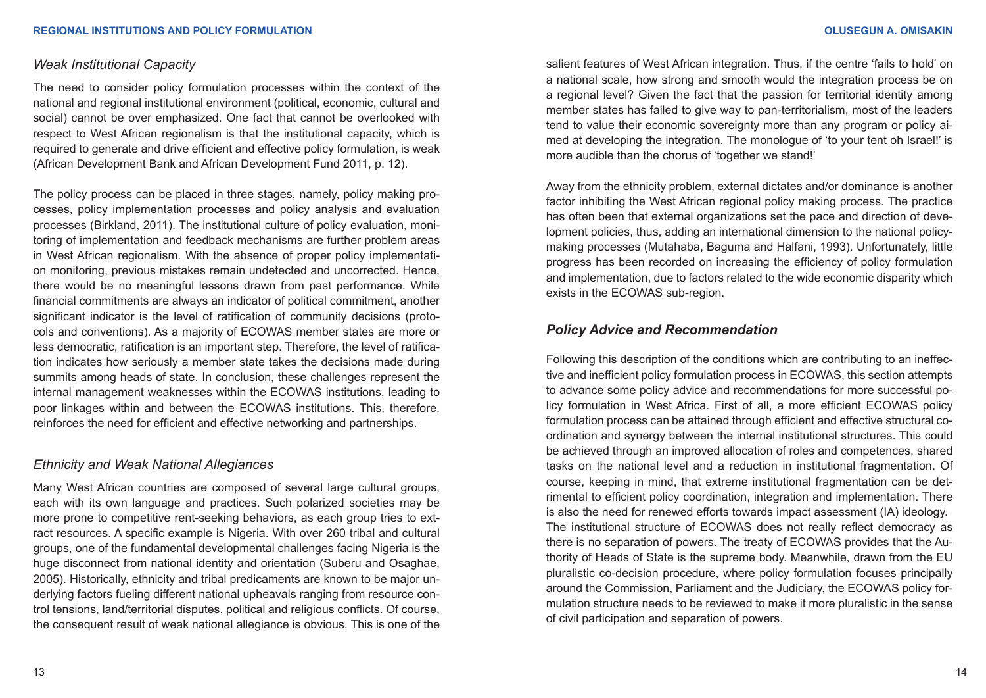### *Weak Institutional Capacity*

The need to consider policy formulation processes within the context of the national and regional institutional environment (political, economic, cultural and social) cannot be over emphasized. One fact that cannot be overlooked with respect to West African regionalism is that the institutional capacity, which is required to generate and drive efficient and effective policy formulation, is weak (African Development Bank and African Development Fund 2011, p. 12).

The policy process can be placed in three stages, namely, policy making processes, policy implementation processes and policy analysis and evaluation processes (Birkland, 2011). The institutional culture of policy evaluation, monitoring of implementation and feedback mechanisms are further problem areas in West African regionalism. With the absence of proper policy implementation monitoring, previous mistakes remain undetected and uncorrected. Hence, there would be no meaningful lessons drawn from past performance. While financial commitments are always an indicator of political commitment, another significant indicator is the level of ratification of community decisions (protocols and conventions). As a majority of ECOWAS member states are more or less democratic, ratification is an important step. Therefore, the level of ratification indicates how seriously a member state takes the decisions made during summits among heads of state. In conclusion, these challenges represent the internal management weaknesses within the ECOWAS institutions, leading to poor linkages within and between the ECOWAS institutions. This, therefore, reinforces the need for efficient and effective networking and partnerships.

#### *Ethnicity and Weak National Allegiances*

Many West African countries are composed of several large cultural groups, each with its own language and practices. Such polarized societies may be more prone to competitive rent-seeking behaviors, as each group tries to extract resources. A specific example is Nigeria. With over 260 tribal and cultural groups, one of the fundamental developmental challenges facing Nigeria is the huge disconnect from national identity and orientation (Suberu and Osaghae, 2005). Historically, ethnicity and tribal predicaments are known to be major underlying factors fueling different national upheavals ranging from resource control tensions, land/territorial disputes, political and religious conflicts. Of course, the consequent result of weak national allegiance is obvious. This is one of the

salient features of West African integration. Thus, if the centre 'fails to hold' on a national scale, how strong and smooth would the integration process be on a regional level? Given the fact that the passion for territorial identity among member states has failed to give way to pan-territorialism, most of the leaders tend to value their economic sovereignty more than any program or policy aimed at developing the integration. The monologue of 'to your tent oh Israel!' is more audible than the chorus of 'together we stand!'

Away from the ethnicity problem, external dictates and/or dominance is another factor inhibiting the West African regional policy making process. The practice has often been that external organizations set the pace and direction of development policies, thus, adding an international dimension to the national policymaking processes (Mutahaba, Baguma and Halfani, 1993). Unfortunately, little progress has been recorded on increasing the efficiency of policy formulation and implementation, due to factors related to the wide economic disparity which exists in the ECOWAS sub-region.

## *Policy Advice and Recommendation*

Following this description of the conditions which are contributing to an ineffective and inefficient policy formulation process in ECOWAS, this section attempts to advance some policy advice and recommendations for more successful policy formulation in West Africa. First of all, a more efficient ECOWAS policy formulation process can be attained through efficient and effective structural coordination and synergy between the internal institutional structures. This could be achieved through an improved allocation of roles and competences, shared tasks on the national level and a reduction in institutional fragmentation. Of course, keeping in mind, that extreme institutional fragmentation can be detrimental to efficient policy coordination, integration and implementation. There is also the need for renewed efforts towards impact assessment (IA) ideology. The institutional structure of ECOWAS does not really reflect democracy as there is no separation of powers. The treaty of ECOWAS provides that the Authority of Heads of State is the supreme body. Meanwhile, drawn from the EU pluralistic co-decision procedure, where policy formulation focuses principally around the Commission, Parliament and the Judiciary, the ECOWAS policy formulation structure needs to be reviewed to make it more pluralistic in the sense of civil participation and separation of powers.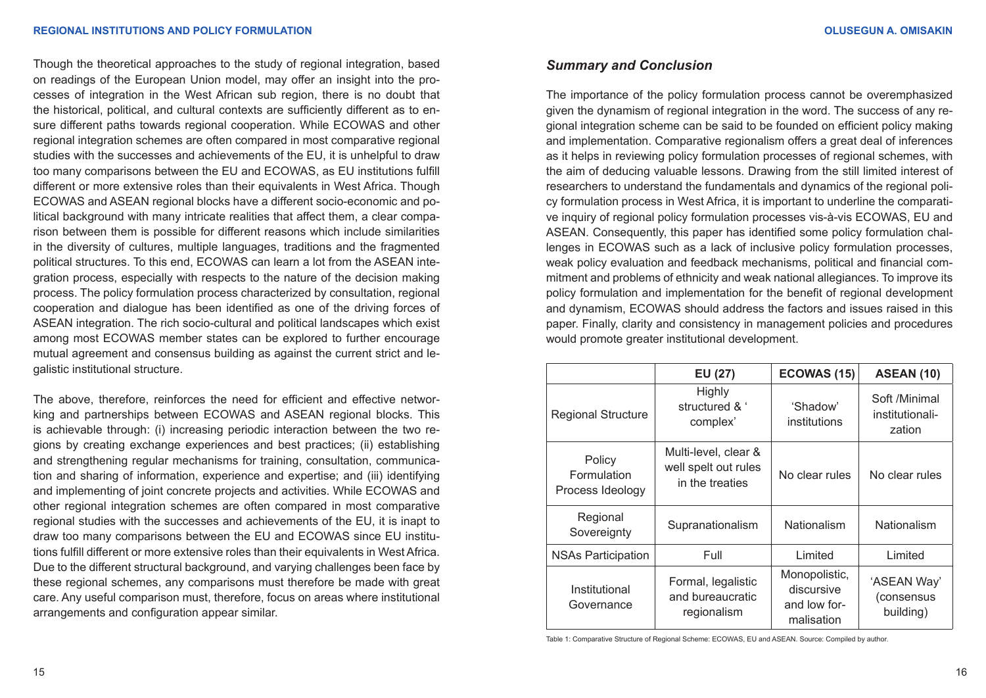Though the theoretical approaches to the study of regional integration, based on readings of the European Union model, may offer an insight into the processes of integration in the West African sub region, there is no doubt that the historical, political, and cultural contexts are sufficiently different as to ensure different paths towards regional cooperation. While ECOWAS and other regional integration schemes are often compared in most comparative regional studies with the successes and achievements of the EU, it is unhelpful to draw too many comparisons between the EU and ECOWAS, as EU institutions fulfill different or more extensive roles than their equivalents in West Africa. Though ECOWAS and ASEAN regional blocks have a different socio-economic and political background with many intricate realities that affect them, a clear comparison between them is possible for different reasons which include similarities in the diversity of cultures, multiple languages, traditions and the fragmented political structures. To this end, ECOWAS can learn a lot from the ASEAN integration process, especially with respects to the nature of the decision making process. The policy formulation process characterized by consultation, regional cooperation and dialogue has been identified as one of the driving forces of ASEAN integration. The rich socio-cultural and political landscapes which exist among most ECOWAS member states can be explored to further encourage mutual agreement and consensus building as against the current strict and legalistic institutional structure.

The above, therefore, reinforces the need for efficient and effective networking and partnerships between ECOWAS and ASEAN regional blocks. This is achievable through: (i) increasing periodic interaction between the two regions by creating exchange experiences and best practices; (ii) establishing and strengthening regular mechanisms for training, consultation, communication and sharing of information, experience and expertise; and (iii) identifying and implementing of joint concrete projects and activities. While ECOWAS and other regional integration schemes are often compared in most comparative regional studies with the successes and achievements of the EU, it is inapt to draw too many comparisons between the EU and ECOWAS since EU institutions fulfill different or more extensive roles than their equivalents in West Africa. Due to the different structural background, and varying challenges been face by these regional schemes, any comparisons must therefore be made with great care. Any useful comparison must, therefore, focus on areas where institutional arrangements and configuration appear similar.

# *Summary and Conclusion*

The importance of the policy formulation process cannot be overemphasized given the dynamism of regional integration in the word. The success of any regional integration scheme can be said to be founded on efficient policy making and implementation. Comparative regionalism offers a great deal of inferences as it helps in reviewing policy formulation processes of regional schemes, with the aim of deducing valuable lessons. Drawing from the still limited interest of researchers to understand the fundamentals and dynamics of the regional policy formulation process in West Africa, it is important to underline the comparative inquiry of regional policy formulation processes vis-à-vis ECOWAS, EU and ASEAN. Consequently, this paper has identified some policy formulation challenges in ECOWAS such as a lack of inclusive policy formulation processes, weak policy evaluation and feedback mechanisms, political and financial commitment and problems of ethnicity and weak national allegiances. To improve its policy formulation and implementation for the benefit of regional development and dynamism, ECOWAS should address the factors and issues raised in this paper. Finally, clarity and consistency in management policies and procedures would promote greater institutional development.

|                                           | EU (27)                                                         | ECOWAS (15)                                               | <b>ASEAN (10)</b>                          |
|-------------------------------------------|-----------------------------------------------------------------|-----------------------------------------------------------|--------------------------------------------|
| <b>Regional Structure</b>                 | Highly<br>structured & '<br>complex'                            | 'Shadow'<br>institutions                                  | Soft /Minimal<br>institutionali-<br>zation |
| Policy<br>Formulation<br>Process Ideology | Multi-level, clear &<br>well spelt out rules<br>in the treaties | No clear rules                                            | No clear rules                             |
| Regional<br>Sovereignty                   | Supranationalism                                                | Nationalism                                               | Nationalism                                |
| <b>NSAs Participation</b>                 | Full                                                            | Limited                                                   | Limited                                    |
| Institutional<br>Governance               | Formal, legalistic<br>and bureaucratic<br>regionalism           | Monopolistic,<br>discursive<br>and low for-<br>malisation | 'ASEAN Way'<br>(consensus<br>building)     |

Table 1: Comparative Structure of Regional Scheme: ECOWAS, EU and ASEAN. Source: Compiled by author.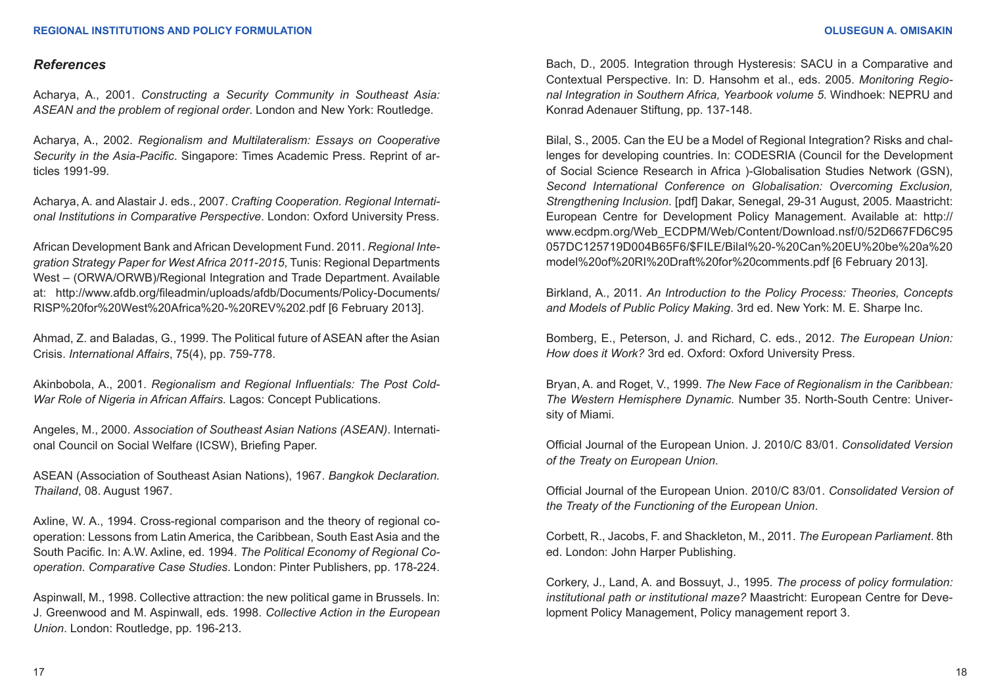#### *References*

Acharya, A., 2001. *Constructing a Security Community in Southeast Asia: ASEAN and the problem of regional order*. London and New York: Routledge.

Acharya, A., 2002. *Regionalism and Multilateralism: Essays on Cooperative Security in the Asia-Pacific*. Singapore: Times Academic Press. Reprint of articles 1991-99.

Acharya, A. and Alastair J. eds., 2007. *Crafting Cooperation. Regional International Institutions in Comparative Perspective*. London: Oxford University Press.

African Development Bank and African Development Fund. 2011. *Regional Integration Strategy Paper for West Africa 2011-2015*, Tunis: Regional Departments West – (ORWA/ORWB)/Regional Integration and Trade Department. Available at: [http://www.afdb.org/fileadmin/uploads/afdb/Documents/Policy-Documents/](http://) [RISP%20for%20West%20Africa%20-%20REV%202.pdf](http://) [6 February 2013].

Ahmad, Z. and Baladas, G., 1999. The Political future of ASEAN after the Asian Crisis. *International Affairs*, 75(4), pp. 759-778.

Akinbobola, A., 2001. *Regionalism and Regional Influentials: The Post Cold-War Role of Nigeria in African Affairs*. Lagos: Concept Publications.

Angeles, M., 2000. *Association of Southeast Asian Nations (ASEAN)*. International Council on Social Welfare (ICSW), Briefing Paper.

ASEAN (Association of Southeast Asian Nations), 1967. *Bangkok Declaration. Thailand*, 08. August 1967.

Axline, W. A., 1994. Cross-regional comparison and the theory of regional cooperation: Lessons from Latin America, the Caribbean, South East Asia and the South Pacific. In: A.W. Axline, ed. 1994. *The Political Economy of Regional Cooperation. Comparative Case Studies*. London: Pinter Publishers, pp. 178-224.

Aspinwall, M., 1998. Collective attraction: the new political game in Brussels. In: J. Greenwood and M. Aspinwall, eds. 1998. *Collective Action in the European Union*. London: Routledge, pp. 196-213.

Bach, D., 2005. Integration through Hysteresis: SACU in a Comparative and Contextual Perspective. In: D. Hansohm et al., eds. 2005. *Monitoring Regional Integration in Southern Africa, Yearbook volume 5*. Windhoek: NEPRU and Konrad Adenauer Stiftung, pp. 137-148.

Bilal, S., 2005. Can the EU be a Model of Regional Integration? Risks and challenges for developing countries. In: CODESRIA (Council for the Development of Social Science Research in Africa )-Globalisation Studies Network (GSN), *Second International Conference on Globalisation: Overcoming Exclusion, Strengthening Inclusion*. [pdf] Dakar, Senegal, 29-31 August, 2005. Maastricht: European Centre for Development Policy Management. Available at: <http://> [www.ecdpm.org/Web\\_ECDPM/Web/Content/Download.nsf/0/52D667FD6C95](http://) [057DC125719D004B65F6/\\$FILE/Bilal%20-%20Can%20EU%20be%20a%20](http://) [model%20of%20RI%20Draft%20for%20comments.pdf](http://) [6 February 2013].

Birkland, A., 2011. *An Introduction to the Policy Process: Theories, Concepts and Models of Public Policy Making*. 3rd ed. New York: M. E. Sharpe Inc.

Bomberg, E., Peterson, J. and Richard, C. eds., 2012. *The European Union: How does it Work?* 3rd ed. Oxford: Oxford University Press.

Bryan, A. and Roget, V., 1999. *The New Face of Regionalism in the Caribbean: The Western Hemisphere Dynamic*. Number 35. North-South Centre: University of Miami.

Official Journal of the European Union. J. 2010/C 83/01. *Consolidated Version of the Treaty on European Union*.

Official Journal of the European Union. 2010/C 83/01. *Consolidated Version of the Treaty of the Functioning of the European Union*.

Corbett, R., Jacobs, F. and Shackleton, M., 2011. *The European Parliament*. 8th ed. London: John Harper Publishing.

Corkery, J., Land, A. and Bossuyt, J., 1995. *The process of policy formulation: institutional path or institutional maze?* Maastricht: European Centre for Development Policy Management, Policy management report 3.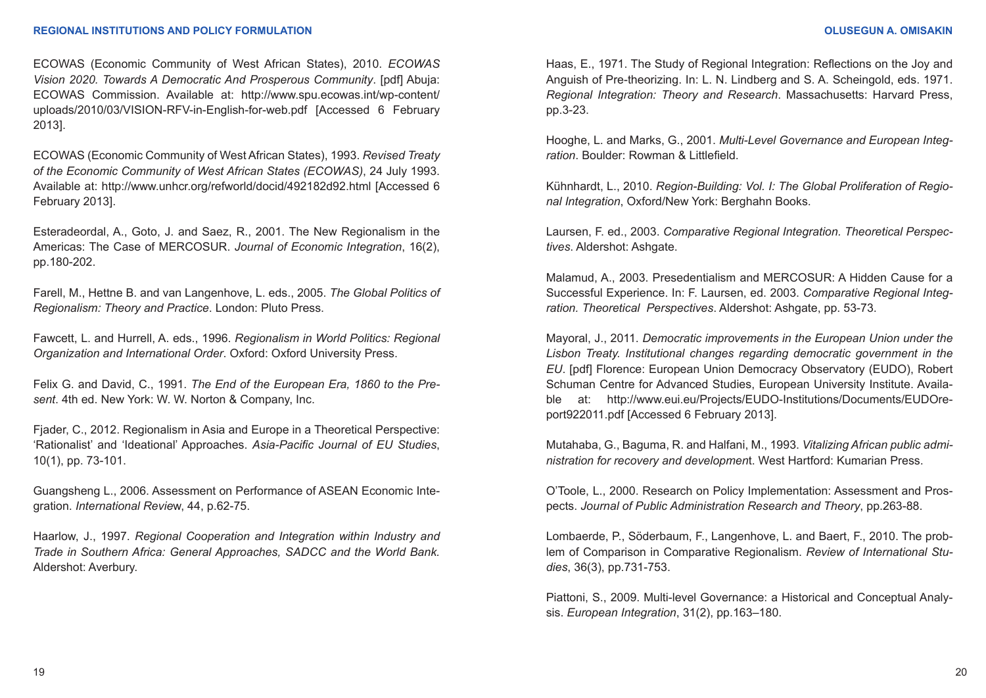#### **REGIONAL INSTITUTIONS AND POLICY FORMULATION OLUSEGUN A. OMISAKIN**

ECOWAS (Economic Community of West African States), 2010. *ECOWAS Vision 2020. Towards A Democratic And Prosperous Community*. [pdf] Abuja: ECOWAS Commission. Available at: [http://www.spu.ecowas.int/wp-content/](http://) [uploads/2010/03/VISION-RFV-in-English-for-web.pdf](http://) [Accessed 6 February 2013].

ECOWAS (Economic Community of West African States), 1993. *Revised Treaty of the Economic Community of West African States (ECOWAS)*, 24 July 1993. Available at: [http://www.unhcr.org/refworld/docid/492182d92.html](http://) [Accessed 6 February 2013].

Esteradeordal, A., Goto, J. and Saez, R., 2001. The New Regionalism in the Americas: The Case of MERCOSUR. *Journal of Economic Integration*, 16(2), pp.180-202.

Farell, M., Hettne B. and van Langenhove, L. eds., 2005. *The Global Politics of Regionalism: Theory and Practice*. London: Pluto Press.

Fawcett, L. and Hurrell, A. eds., 1996. *Regionalism in World Politics: Regional Organization and International Order*. Oxford: Oxford University Press.

Felix G. and David, C., 1991. *The End of the European Era, 1860 to the Present*. 4th ed. New York: W. W. Norton & Company, Inc.

Fjader, C., 2012. Regionalism in Asia and Europe in a Theoretical Perspective: 'Rationalist' and 'Ideational' Approaches. *Asia-Pacific Journal of EU Studies*, 10(1), pp. 73-101.

Guangsheng L., 2006. Assessment on Performance of ASEAN Economic Integration. *International Revie*w, 44, p.62-75.

Haarlow, J., 1997. *Regional Cooperation and Integration within Industry and Trade in Southern Africa: General Approaches, SADCC and the World Bank.*  Aldershot: Averbury.

Haas, E., 1971. The Study of Regional Integration: Reflections on the Joy and Anguish of Pre-theorizing. In: L. N. Lindberg and S. A. Scheingold, eds. 1971. *Regional Integration: Theory and Research*. Massachusetts: Harvard Press, pp.3-23.

Hooghe, L. and Marks, G., 2001. *Multi-Level Governance and European Integration*. Boulder: Rowman & Littlefield.

Kühnhardt, L., 2010. *Region-Building: Vol. I: The Global Proliferation of Regional Integration*, Oxford/New York: Berghahn Books.

Laursen, F. ed., 2003. *Comparative Regional Integration. Theoretical Perspectives*. Aldershot: Ashgate.

Malamud, A., 2003. Presedentialism and MERCOSUR: A Hidden Cause for a Successful Experience. In: F. Laursen, ed. 2003. *Comparative Regional Integration. Theoretical Perspectives*. Aldershot: Ashgate, pp. 53-73.

Mayoral, J., 2011. *Democratic improvements in the European Union under the Lisbon Treaty. Institutional changes regarding democratic government in the EU*. [pdf] Florence: European Union Democracy Observatory (EUDO), Robert Schuman Centre for Advanced Studies, European University Institute. Available at: [http://www.eui.eu/Projects/EUDO-Institutions/Documents/EUDOre](http://)[port922011.pdf](http://) [Accessed 6 February 2013].

Mutahaba, G., Baguma, R. and Halfani, M., 1993. *Vitalizing African public administration for recovery and developmen*t. West Hartford: Kumarian Press.

O'Toole, L., 2000. Research on Policy Implementation: Assessment and Prospects. *Journal of Public Administration Research and Theory*, pp.263-88.

Lombaerde, P., Söderbaum, F., Langenhove, L. and Baert, F., 2010. The problem of Comparison in Comparative Regionalism. *Review of International Studies*, 36(3), pp.731-753.

Piattoni, S., 2009. Multi-level Governance: a Historical and Conceptual Analysis. *European Integration*, 31(2), pp.163–180.